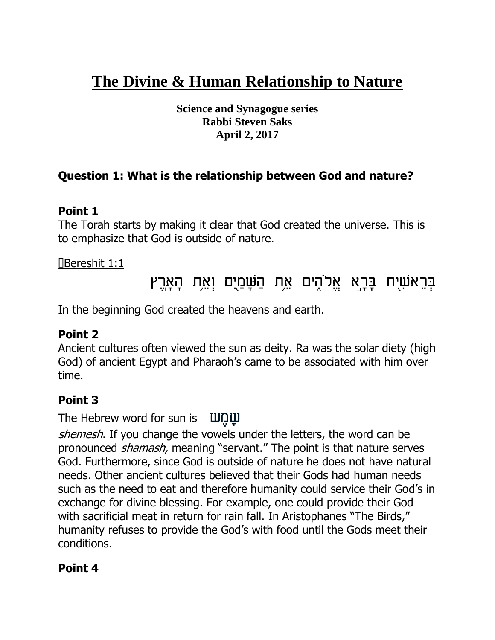# **The Divine & Human Relationship to Nature**

**Science and Synagogue series Rabbi Steven Saks April 2, 2017**

## **Question 1: What is the relationship between God and nature?**

#### **Point 1**

The Torah starts by making it clear that God created the universe. This is to emphasize that God is outside of nature.

#### Bereshit 1:1

# <mark>ַ</mark>בְּרֵאֹשִׁיָת בָּרָאַ אֱלֹהֶים אֶת הַ<mark>ּשָּׁם</mark>ֵיָם וְאֵת הָאָרֶץ

In the beginning God created the heavens and earth.

## **Point 2**

Ancient cultures often viewed the sun as deity. Ra was the solar diety (high God) of ancient Egypt and Pharaoh's came to be associated with him over time.

#### **Point 3**

The Hebrew word for sun is

shemesh. If you change the vowels under the letters, the word can be pronounced *shamash*, meaning "servant." The point is that nature serves God. Furthermore, since God is outside of nature he does not have natural needs. Other ancient cultures believed that their Gods had human needs such as the need to eat and therefore humanity could service their God's in exchange for divine blessing. For example, one could provide their God with sacrificial meat in return for rain fall. In Aristophanes "The Birds," humanity refuses to provide the God's with food until the Gods meet their conditions.

#### **Point 4**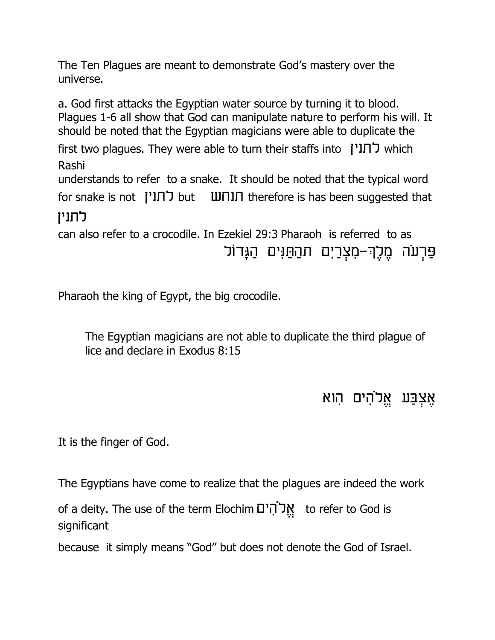The Ten Plagues are meant to demonstrate God's mastery over the universe.

a. God first attacks the Egyptian water source by turning it to blood. Plagues 1-6 all show that God can manipulate nature to perform his will. It should be noted that the Egyptian magicians were able to duplicate the first two plagues. They were able to turn their staffs into  $\overline{I}$  which Rashi understands to refer to a snake. It should be noted that the typical word  $for$  snake is not  $\Box$ סערע but  $\Box$ תנחש $\Box$  therefore is has been suggested that לתניז can also refer to a crocodile. In Ezekiel 29:3 Pharaoh is referred to as פַּרְעה מֶלֶךְ-מִצְרַיִם תהַחַּנִּים הַגָּדוֹל

Pharaoh the king of Egypt, the big crocodile.

The Egyptian magicians are not able to duplicate the third plague of lice and declare in Exodus 8:15

# אֵצְבַּע אֱלֹהִים הִוא

It is the finger of God.

The Egyptians have come to realize that the plagues are indeed the work

of a deity. The use of the term Elochim אֲלֹהִים to refer to God is significant

because it simply means "God" but does not denote the God of Israel.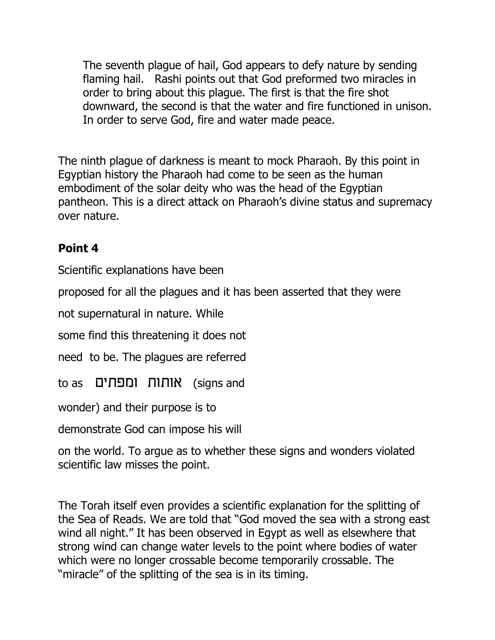The seventh plague of hail, God appears to defy nature by sending flaming hail. Rashi points out that God preformed two miracles in order to bring about this plague. The first is that the fire shot downward, the second is that the water and fire functioned in unison. In order to serve God, fire and water made peace.

The ninth plague of darkness is meant to mock Pharaoh. By this point in Egyptian history the Pharaoh had come to be seen as the human embodiment of the solar deity who was the head of the Egyptian pantheon. This is a direct attack on Pharaoh's divine status and supremacy over nature.

# **Point 4**

Scientific explanations have been

proposed for all the plagues and it has been asserted that they were

not supernatural in nature. While

some find this threatening it does not

need to be. The plagues are referred

to as (signs and

wonder) and their purpose is to

demonstrate God can impose his will

on the world. To argue as to whether these signs and wonders violated scientific law misses the point.

The Torah itself even provides a scientific explanation for the splitting of the Sea of Reads. We are told that "God moved the sea with a strong east wind all night." It has been observed in Egypt as well as elsewhere that strong wind can change water levels to the point where bodies of water which were no longer crossable become temporarily crossable. The "miracle" of the splitting of the sea is in its timing.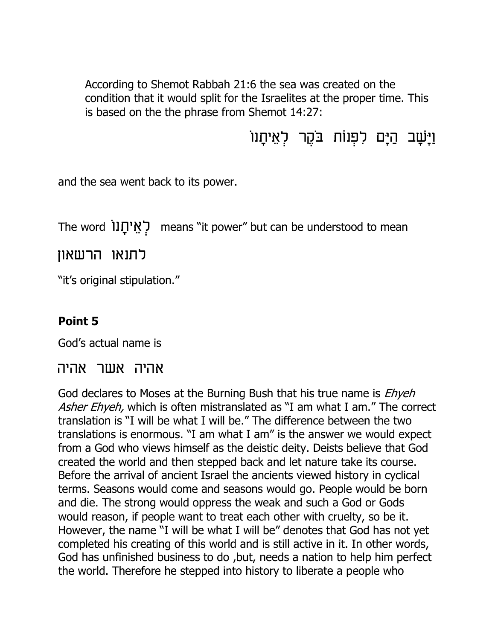According to Shemot Rabbah 21:6 the sea was created on the condition that it would split for the Israelites at the proper time. This is based on the the phrase from Shemot 14:27:

וַיָּשָׁב הַיָּם לִפְנוֹת בַּקֶר לְאֵיחָנו

and the sea went back to its power.

The word means "it power" but can be understood to mean

לתנאו הרשאון

"it's original stipulation."

#### **Point 5**

God's actual name is

#### אהיה אשר אהיה

God declares to Moses at the Burning Bush that his true name is *Ehyeh* Asher Ehyeh, which is often mistranslated as "I am what I am." The correct translation is "I will be what I will be." The difference between the two translations is enormous. "I am what I am" is the answer we would expect from a God who views himself as the deistic deity. Deists believe that God created the world and then stepped back and let nature take its course. Before the arrival of ancient Israel the ancients viewed history in cyclical terms. Seasons would come and seasons would go. People would be born and die. The strong would oppress the weak and such a God or Gods would reason, if people want to treat each other with cruelty, so be it. However, the name "I will be what I will be" denotes that God has not yet completed his creating of this world and is still active in it. In other words, God has unfinished business to do ,but, needs a nation to help him perfect the world. Therefore he stepped into history to liberate a people who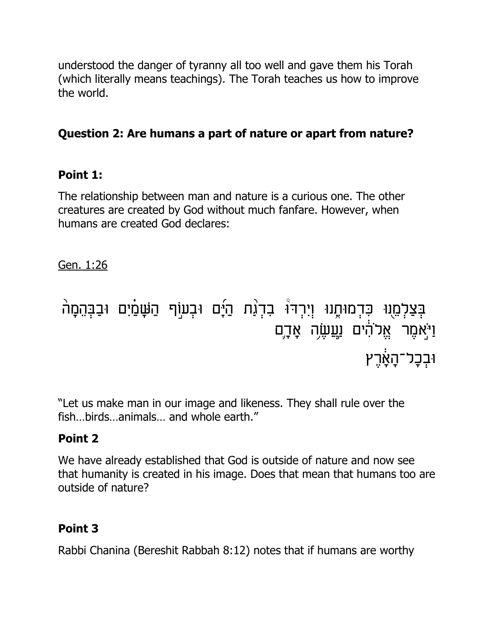understood the danger of tyranny all too well and gave them his Torah (which literally means teachings). The Torah teaches us how to improve the world.

# **Question 2: Are humans a part of nature or apart from nature?**

## **Point 1:**

The relationship between man and nature is a curious one. The other creatures are created by God without much fanfare. However, when humans are created God declares:

Gen. 1:26

#### $\frac{1}{1}$ בְּצַלְמֶוּ כִּדְמוּחֶנוּ וְיִרְד<sup>ְי</sup> בִדְגַת הַיָּם וּבְעוֹף הַשָּׁמַיִם וּבַבְּהֵמָה  $\mathbf{1}$ ،<br>ا וַי<sub>ַּ</sub>אמֶר אֱלהִים וַ<u>עֲ</u>שֶׂה אָדֶם ױב<del>ָכָל־הָא</del>ָ֫רֶץ

"Let us make man in our image and likeness. They shall rule over the fish…birds…animals… and whole earth."

# **Point 2**

We have already established that God is outside of nature and now see that humanity is created in his image. Does that mean that humans too are outside of nature?

# **Point 3**

Rabbi Chanina (Bereshit Rabbah 8:12) notes that if humans are worthy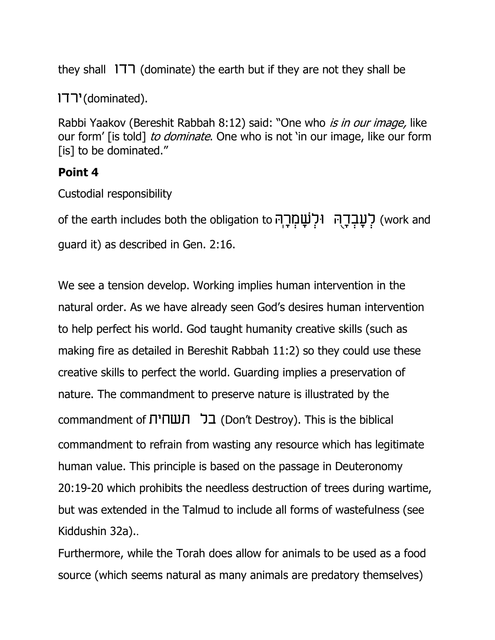they shall  $177$  (dominate) the earth but if they are not they shall be

(dominated).

Rabbi Yaakov (Bereshit Rabbah 8:12) said: "One who is in our image, like our form' [is told] to dominate. One who is not 'in our image, like our form [is] to be dominated."

#### **Point 4**

Custodial responsibility

of the earth includes both the obligation to ק<mark>ָׁעָבְרָהְ וּלְשָׁמְרָה</mark> (work and guard it) as described in Gen. 2:16.

We see a tension develop. Working implies human intervention in the natural order. As we have already seen God's desires human intervention to help perfect his world. God taught humanity creative skills (such as making fire as detailed in Bereshit Rabbah 11:2) so they could use these creative skills to perfect the world. Guarding implies a preservation of nature. The commandment to preserve nature is illustrated by the commandment of (Don't Destroy). This is the biblical commandment to refrain from wasting any resource which has legitimate human value. This principle is based on the passage in Deuteronomy 20:19-20 which prohibits the needless destruction of trees during wartime, but was extended in the Talmud to include all forms of wastefulness (see Kiddushin 32a)..

Furthermore, while the Torah does allow for animals to be used as a food source (which seems natural as many animals are predatory themselves)